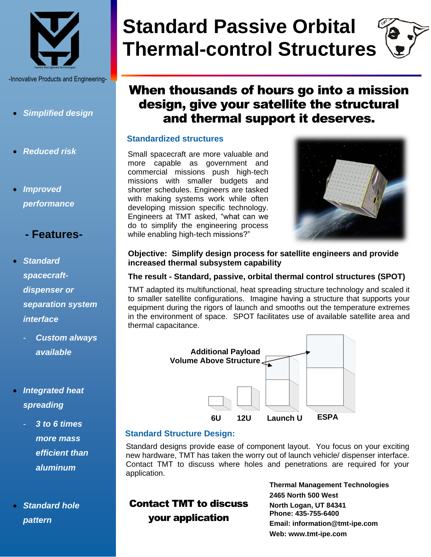

-Innovative Products and Engineering-

- *Simplified design*
- *Reduced risk*
- *Improved performance*

# **- Features-**

- *Standard spacecraftdispenser or separation system interface* 
	- *Custom always available*
- *Integrated heat spreading*
	- *3 to 6 times more mass efficient than aluminum*
- *Standard hole pattern*

# **Standard Passive Orbital Thermal-control Structures**

# When thousands of hours go into a mission design, give your satellite the structural and thermal support it deserves.

#### **Standardized structures**

Small spacecraft are more valuable and more capable as government and commercial missions push high-tech missions with smaller budgets and shorter schedules. Engineers are tasked with making systems work while often developing mission specific technology. Engineers at TMT asked, "what can we do to simplify the engineering process while enabling high-tech missions?"



### **Objective: Simplify design process for satellite engineers and provide increased thermal subsystem capability**

#### **The result - Standard, passive, orbital thermal control structures (SPOT)**

TMT adapted its multifunctional, heat spreading structure technology and scaled it to smaller satellite configurations. Imagine having a structure that supports your equipment during the rigors of launch and smooths out the temperature extremes in the environment of space. SPOT facilitates use of available satellite area and thermal capacitance.



# **Standard Structure Design:**

Standard designs provide ease of component layout. You focus on your exciting new hardware, TMT has taken the worry out of launch vehicle/ dispenser interface. Contact TMT to discuss where holes and penetrations are required for your application.

# Contact TMT to discuss your application

**Thermal Management Technologies 2465 North 500 West North Logan, UT 84341 Phone: 435-755-6400 Email: information@tmt-ipe.com Web: www.tmt-ipe.com**